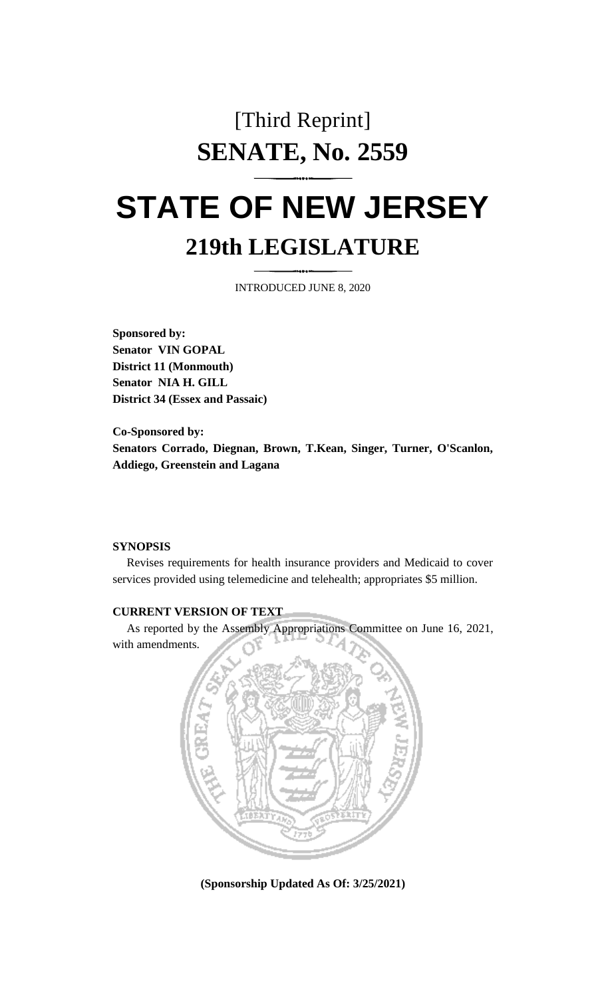## [Third Reprint] **SENATE, No. 2559**

# **STATE OF NEW JERSEY 219th LEGISLATURE**

INTRODUCED JUNE 8, 2020

**Sponsored by: Senator VIN GOPAL District 11 (Monmouth) Senator NIA H. GILL District 34 (Essex and Passaic)**

**Co-Sponsored by: Senators Corrado, Diegnan, Brown, T.Kean, Singer, Turner, O'Scanlon, Addiego, Greenstein and Lagana**

#### **SYNOPSIS**

Revises requirements for health insurance providers and Medicaid to cover services provided using telemedicine and telehealth; appropriates \$5 million.

#### **CURRENT VERSION OF TEXT**

As reported by the Assembly Appropriations Committee on June 16, 2021, with amendments.



**(Sponsorship Updated As Of: 3/25/2021)**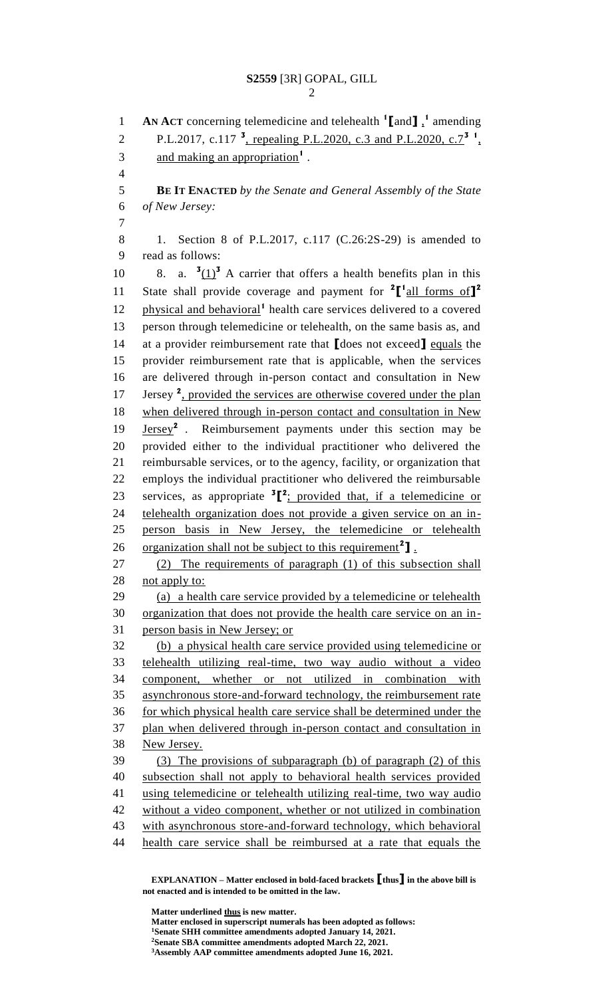**AN ACT** concerning telemedicine and telehealth **<sup>1</sup> [**and**]** , **1** amending 2 P.L.2017, c.117<sup>3</sup>, repealing P.L.2020, c.3 and P.L.2020, c.7<sup>3</sup><sup>1</sup>, 3 and making an appropriation<sup>1</sup>. **BE IT ENACTED** *by the Senate and General Assembly of the State of New Jersey:* 1. Section 8 of P.L.2017, c.117 (C.26:2S-29) is amended to read as follows: 10 8. a.  $\frac{3(1)^3}{2}$  A carrier that offers a health benefits plan in this State shall provide coverage and payment for <sup>2</sup>[<sup>1</sup><sub>all forms of</sub>]<sup>2</sup> 12 physical and behavioral<sup>1</sup> health care services delivered to a covered person through telemedicine or telehealth, on the same basis as, and at a provider reimbursement rate that **[**does not exceed**]** equals the provider reimbursement rate that is applicable, when the services are delivered through in-person contact and consultation in New 17 Jersey<sup>2</sup>, provided the services are otherwise covered under the plan when delivered through in-person contact and consultation in New **Jersey<sup>2</sup>** . Reimbursement payments under this section may be provided either to the individual practitioner who delivered the reimbursable services, or to the agency, facility, or organization that employs the individual practitioner who delivered the reimbursable 23 services, as appropriate  ${}^{3}$  $[{}^{2}$ ; provided that, if a telemedicine or telehealth organization does not provide a given service on an in- person basis in New Jersey, the telemedicine or telehealth 26 organization shall not be subject to this requirement<sup>2</sup>]. (2) The requirements of paragraph (1) of this subsection shall 28 not apply to: (a) a health care service provided by a telemedicine or telehealth organization that does not provide the health care service on an in- person basis in New Jersey; or (b) a physical health care service provided using telemedicine or telehealth utilizing real-time, two way audio without a video component, whether or not utilized in combination with asynchronous store-and-forward technology, the reimbursement rate for which physical health care service shall be determined under the plan when delivered through in-person contact and consultation in New Jersey. (3) The provisions of subparagraph (b) of paragraph (2) of this subsection shall not apply to behavioral health services provided using telemedicine or telehealth utilizing real-time, two way audio without a video component, whether or not utilized in combination with asynchronous store-and-forward technology, which behavioral health care service shall be reimbursed at a rate that equals the

**EXPLANATION – Matter enclosed in bold-faced brackets [thus] in the above bill is not enacted and is intended to be omitted in the law.**

**Matter underlined thus is new matter. Matter enclosed in superscript numerals has been adopted as follows: Senate SHH committee amendments adopted January 14, 2021. Senate SBA committee amendments adopted March 22, 2021. Assembly AAP committee amendments adopted June 16, 2021.**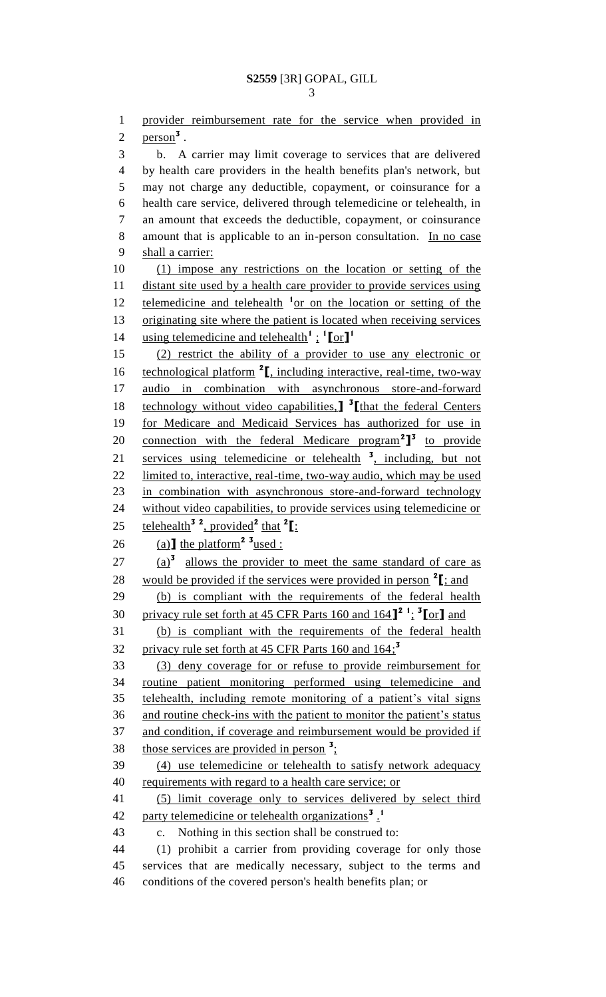provider reimbursement rate for the service when provided in  $\text{person}^3$ . b. A carrier may limit coverage to services that are delivered by health care providers in the health benefits plan's network, but may not charge any deductible, copayment, or coinsurance for a health care service, delivered through telemedicine or telehealth, in an amount that exceeds the deductible, copayment, or coinsurance 8 amount that is applicable to an in-person consultation. In no case 9 shall a carrier: (1) impose any restrictions on the location or setting of the 11 distant site used by a health care provider to provide services using 12 telemedicine and telehealth <sup>1</sup> or on the location or setting of the 13 originating site where the patient is located when receiving services using telemedicine and telehealth**<sup>1</sup>** ; **1 [**or**] 1** (2) restrict the ability of a provider to use any electronic or 16 technological platform <sup>2</sup><sub>I</sub>, including interactive, real-time, two-way audio in combination with asynchronous store-and-forward 18 **technology without video capabilities, <sup>3</sup>** [that the federal Centers for Medicare and Medicaid Services has authorized for use in 20 connection with the federal Medicare program<sup>2</sup><sup>1</sup> to provide 21 services using telemedicine or telehealth <sup>3</sup>, including, but not limited to, interactive, real-time, two-way audio, which may be used in combination with asynchronous store-and-forward technology without video capabilities, to provide services using telemedicine or 25 **telehealth<sup>3</sup><sup>2</sup>**, provided<sup>2</sup> that <sup>2</sup>[: 26 (a)  $\text{the platform}^2$  <sup>3</sup> used : 27  $(a)^3$  allows the provider to meet the same standard of care as 28 would be provided if the services were provided in person  $2\text{I}$ ; and (b) is compliant with the requirements of the federal health privacy rule set forth at 45 CFR Parts 160 and 164**] 2 1** ; **3 [**or**]** and (b) is compliant with the requirements of the federal health privacy rule set forth at 45 CFR Parts 160 and 164; **3** (3) deny coverage for or refuse to provide reimbursement for routine patient monitoring performed using telemedicine and telehealth, including remote monitoring of a patient's vital signs and routine check-ins with the patient to monitor the patient's status 37 and condition, if coverage and reimbursement would be provided if 38 those services are provided in person <sup>3</sup>: (4) use telemedicine or telehealth to satisfy network adequacy 40 requirements with regard to a health care service; or (5) limit coverage only to services delivered by select third party telemedicine or telehealth organizations<sup>3</sup>. c. Nothing in this section shall be construed to: (1) prohibit a carrier from providing coverage for only those services that are medically necessary, subject to the terms and

conditions of the covered person's health benefits plan; or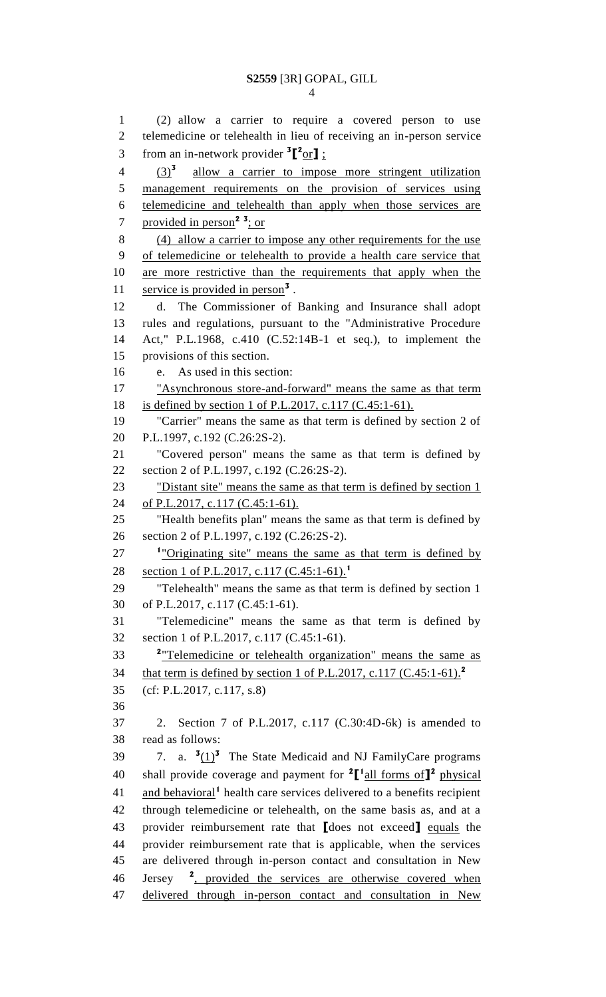(2) allow a carrier to require a covered person to use telemedicine or telehealth in lieu of receiving an in-person service from an in-network provider  ${}^{3}$  $[{}^{2}$ or**]**;  $(3)^3$  $\frac{(3)^3}{2}$  allow a carrier to impose more stringent utilization management requirements on the provision of services using telemedicine and telehealth than apply when those services are provided in person**<sup>2</sup> <sup>3</sup>** ; or (4) allow a carrier to impose any other requirements for the use of telemedicine or telehealth to provide a health care service that are more restrictive than the requirements that apply when the 11 service is provided in person<sup>3</sup>. d. The Commissioner of Banking and Insurance shall adopt rules and regulations, pursuant to the "Administrative Procedure Act," P.L.1968, c.410 (C.52:14B-1 et seq.), to implement the provisions of this section. e. As used in this section: "Asynchronous store-and-forward" means the same as that term is defined by section 1 of P.L.2017, c.117 (C.45:1-61). "Carrier" means the same as that term is defined by section 2 of P.L.1997, c.192 (C.26:2S-2). "Covered person" means the same as that term is defined by section 2 of P.L.1997, c.192 (C.26:2S-2). 23 "Distant site" means the same as that term is defined by section 1 24 of P.L.2017, c.117 (C.45:1-61). "Health benefits plan" means the same as that term is defined by section 2 of P.L.1997, c.192 (C.26:2S-2). <sup>1</sup> "Originating site" means the same as that term is defined by section 1 of P.L.2017, c.117 (C.45:1-61).<sup>1</sup> "Telehealth" means the same as that term is defined by section 1 of P.L.2017, c.117 (C.45:1-61). "Telemedicine" means the same as that term is defined by section 1 of P.L.2017, c.117 (C.45:1-61). <sup>2</sup> Telemedicine or telehealth organization" means the same as that term is defined by section 1 of P.L.2017, c.117 (C.45:1-61).**<sup>2</sup>** (cf: P.L.2017, c.117, s.8) 2. Section 7 of P.L.2017, c.117 (C.30:4D-6k) is amended to read as follows:  $\ldots$  3.  $\frac{3(1)^3}{1}$  The State Medicaid and NJ FamilyCare programs 40 shall provide coverage and payment for  ${}^{2}$  $[$ <sup>1</sup> all forms of  $]$ <sup>2</sup> physical 41 and behavioral<sup>1</sup> health care services delivered to a benefits recipient through telemedicine or telehealth, on the same basis as, and at a provider reimbursement rate that **[**does not exceed**]** equals the provider reimbursement rate that is applicable, when the services are delivered through in-person contact and consultation in New Jersey 46 Jersey <sup>2</sup>, provided the services are otherwise covered when 47 delivered through in-person contact and consultation in New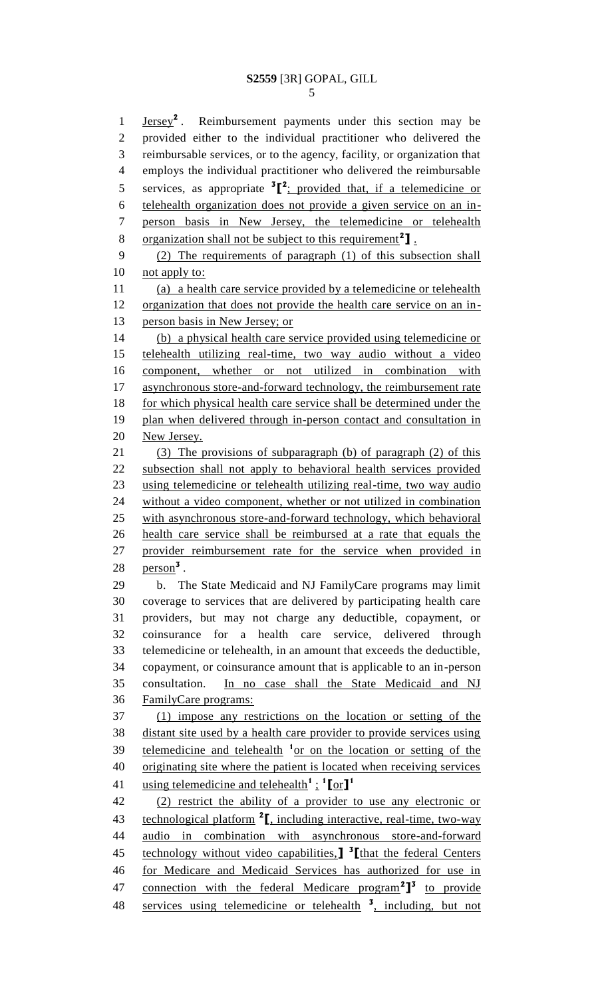**Jersey<sup>2</sup>**. Reimbursement payments under this section may be provided either to the individual practitioner who delivered the reimbursable services, or to the agency, facility, or organization that employs the individual practitioner who delivered the reimbursable 5 services, as appropriate <sup>3</sup><sup>[2</sup>: provided that, if a telemedicine or telehealth organization does not provide a given service on an in- person basis in New Jersey, the telemedicine or telehealth 8 organization shall not be subject to this requirement<sup>2</sup>]. (2) The requirements of paragraph (1) of this subsection shall 10 not apply to: (a) a health care service provided by a telemedicine or telehealth organization that does not provide the health care service on an in- person basis in New Jersey; or (b) a physical health care service provided using telemedicine or telehealth utilizing real-time, two way audio without a video component, whether or not utilized in combination with 17 asynchronous store-and-forward technology, the reimbursement rate 18 for which physical health care service shall be determined under the plan when delivered through in-person contact and consultation in New Jersey. (3) The provisions of subparagraph (b) of paragraph (2) of this subsection shall not apply to behavioral health services provided using telemedicine or telehealth utilizing real-time, two way audio without a video component, whether or not utilized in combination with asynchronous store-and-forward technology, which behavioral health care service shall be reimbursed at a rate that equals the provider reimbursement rate for the service when provided in  $person<sup>3</sup>$ . b. The State Medicaid and NJ FamilyCare programs may limit coverage to services that are delivered by participating health care providers, but may not charge any deductible, copayment, or coinsurance for a health care service, delivered through telemedicine or telehealth, in an amount that exceeds the deductible, copayment, or coinsurance amount that is applicable to an in-person consultation. In no case shall the State Medicaid and NJ FamilyCare programs: (1) impose any restrictions on the location or setting of the distant site used by a health care provider to provide services using 39 telemedicine and telehealth <sup>1</sup> or on the location or setting of the originating site where the patient is located when receiving services using telemedicine and telehealth**<sup>1</sup>**; **1 [**or**] 1** (2) restrict the ability of a provider to use any electronic or 43 technological platform <sup>2</sup><sub>I</sub>, including interactive, real-time, two-way audio in combination with asynchronous store-and-forward technology without video capabilities,**] 3 [**that the federal Centers for Medicare and Medicaid Services has authorized for use in 47 connection with the federal Medicare program<sup>2</sup><sup>3</sup> to provide

48 services using telemedicine or telehealth <sup>3</sup>, including, but not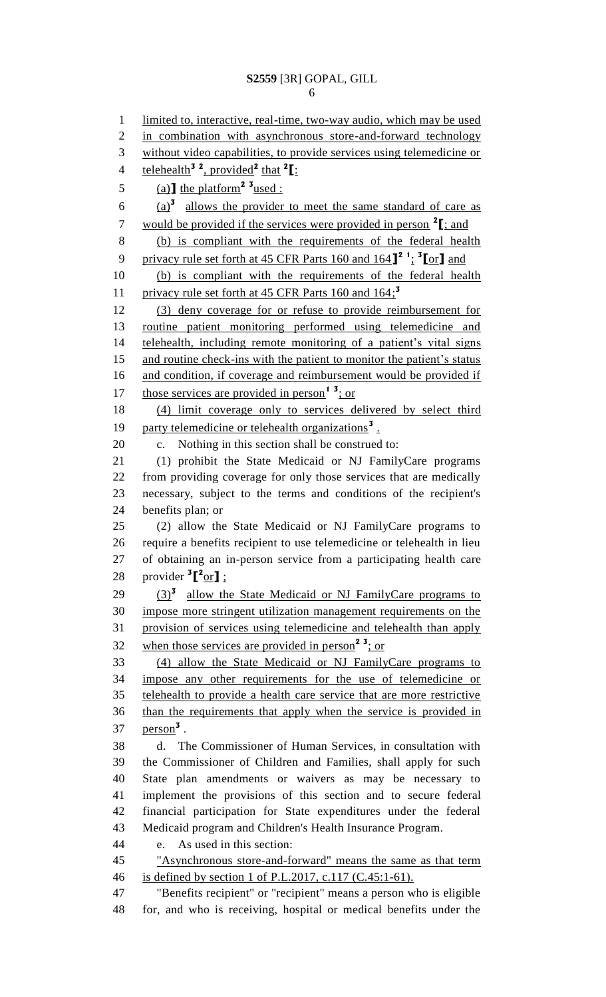limited to, interactive, real-time, two-way audio, which may be used 2 in combination with asynchronous store-and-forward technology without video capabilities, to provide services using telemedicine or telehealth**<sup>3</sup> <sup>2</sup>** , provided**<sup>2</sup>** that **<sup>2</sup> [**: 5 (a)  $\text{I}$  the platform<sup>2</sup> <sup>3</sup> used :  $\frac{(a)^3}{a}$  allows the provider to meet the same standard of care as would be provided if the services were provided in person **<sup>2</sup> [**; and (b) is compliant with the requirements of the federal health privacy rule set forth at 45 CFR Parts 160 and 164**] 2 1** ; **3 [**or**]** and (b) is compliant with the requirements of the federal health privacy rule set forth at 45 CFR Parts 160 and 164; **3** (3) deny coverage for or refuse to provide reimbursement for routine patient monitoring performed using telemedicine and telehealth, including remote monitoring of a patient's vital signs 15 and routine check-ins with the patient to monitor the patient's status 16 and condition, if coverage and reimbursement would be provided if 17 those services are provided in person<sup>1</sup><sup>3</sup>; or (4) limit coverage only to services delivered by select third 19 party telemedicine or telehealth organizations<sup>3</sup>. c. Nothing in this section shall be construed to: (1) prohibit the State Medicaid or NJ FamilyCare programs from providing coverage for only those services that are medically necessary, subject to the terms and conditions of the recipient's benefits plan; or (2) allow the State Medicaid or NJ FamilyCare programs to require a benefits recipient to use telemedicine or telehealth in lieu of obtaining an in-person service from a participating health care 28 provider  ${}^{3}$  $[{}^{2}$ or**]**; 29 (3)<sup>3</sup> allow the State Medicaid or NJ FamilyCare programs to impose more stringent utilization management requirements on the provision of services using telemedicine and telehealth than apply 32 when those services are provided in person<sup>2</sup><sup>3</sup>; or (4) allow the State Medicaid or NJ FamilyCare programs to impose any other requirements for the use of telemedicine or telehealth to provide a health care service that are more restrictive than the requirements that apply when the service is provided in person**<sup>3</sup>** . d. The Commissioner of Human Services, in consultation with the Commissioner of Children and Families, shall apply for such State plan amendments or waivers as may be necessary to implement the provisions of this section and to secure federal financial participation for State expenditures under the federal Medicaid program and Children's Health Insurance Program. e. As used in this section: "Asynchronous store-and-forward" means the same as that term is defined by section 1 of P.L.2017, c.117 (C.45:1-61). "Benefits recipient" or "recipient" means a person who is eligible for, and who is receiving, hospital or medical benefits under the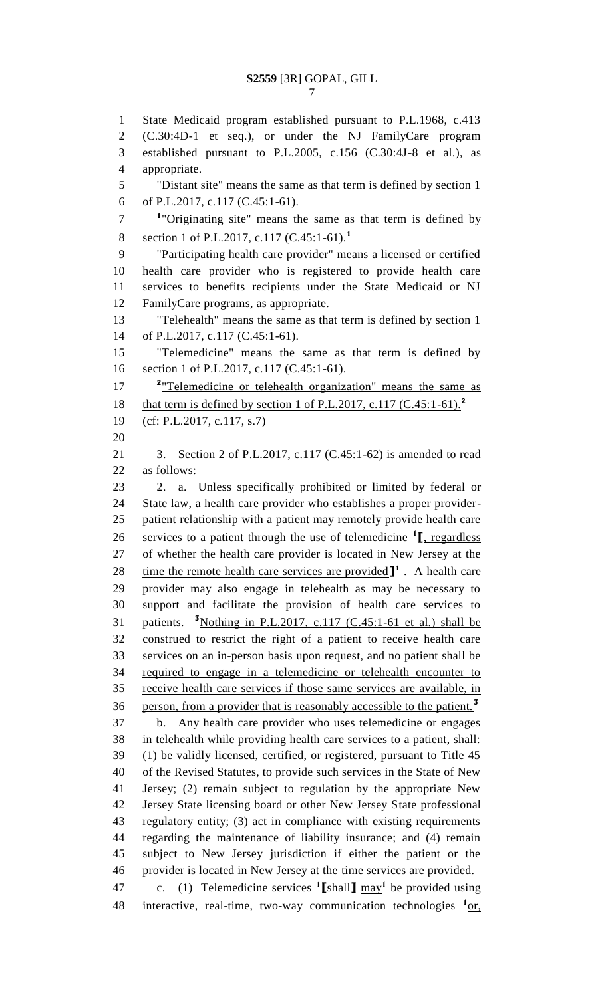State Medicaid program established pursuant to P.L.1968, c.413 (C.30:4D-1 et seq.), or under the NJ FamilyCare program established pursuant to P.L.2005, c.156 (C.30:4J-8 et al.), as appropriate. "Distant site" means the same as that term is defined by section 1 6 of P.L.2017, c.117 (C.45:1-61). <sup>1</sup> "Originating site" means the same as that term is defined by section 1 of P.L.2017, c.117 (C.45:1-61).**<sup>1</sup>** "Participating health care provider" means a licensed or certified health care provider who is registered to provide health care services to benefits recipients under the State Medicaid or NJ FamilyCare programs, as appropriate. "Telehealth" means the same as that term is defined by section 1 of P.L.2017, c.117 (C.45:1-61). "Telemedicine" means the same as that term is defined by section 1 of P.L.2017, c.117 (C.45:1-61). <sup>2</sup> Telemedicine or telehealth organization" means the same as that term is defined by section 1 of P.L.2017, c.117 (C.45:1-61).**<sup>2</sup>** (cf: P.L.2017, c.117, s.7) 3. Section 2 of P.L.2017, c.117 (C.45:1-62) is amended to read as follows: 2. a. Unless specifically prohibited or limited by federal or State law, a health care provider who establishes a proper provider- patient relationship with a patient may remotely provide health care 26 services to a patient through the use of telemedicine <sup>1</sup><sub>L, regardless</sub> of whether the health care provider is located in New Jersey at the 28 ime the remote health care services are provided  $\mathbf{I}^1$ . A health care provider may also engage in telehealth as may be necessary to support and facilitate the provision of health care services to 31 patients.  $\frac{3}{{\text{Nothing in P.L.2017, c.117 (C.45:1-61 et al.) shall be}}}$  construed to restrict the right of a patient to receive health care services on an in-person basis upon request, and no patient shall be required to engage in a telemedicine or telehealth encounter to receive health care services if those same services are available, in person, from a provider that is reasonably accessible to the patient.**<sup>3</sup>** b. Any health care provider who uses telemedicine or engages in telehealth while providing health care services to a patient, shall: (1) be validly licensed, certified, or registered, pursuant to Title 45 of the Revised Statutes, to provide such services in the State of New Jersey; (2) remain subject to regulation by the appropriate New Jersey State licensing board or other New Jersey State professional regulatory entity; (3) act in compliance with existing requirements regarding the maintenance of liability insurance; and (4) remain subject to New Jersey jurisdiction if either the patient or the provider is located in New Jersey at the time services are provided.

47 c. (1) Telemedicine services  $\textbf{1}$  [shall]  $\text{max}_{1}$  be provided using 48 interactive, real-time, two-way communication technologies <sup>1</sup>or,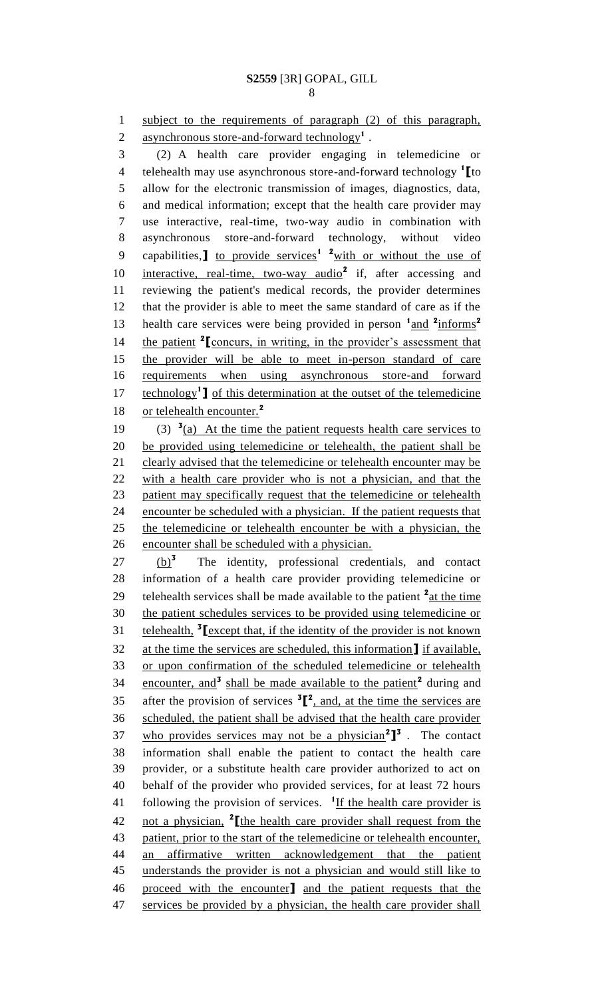1 subject to the requirements of paragraph (2) of this paragraph, 2 asynchronous store-and-forward technology<sup>1</sup>.

3 (2) A health care provider engaging in telemedicine or telehealth may use asynchronous store-and-forward technology **<sup>1</sup>** 4 **[**to 5 allow for the electronic transmission of images, diagnostics, data, 6 and medical information; except that the health care provider may 7 use interactive, real-time, two-way audio in combination with 8 asynchronous store-and-forward technology, without video 9 capabilities, 1 to provide services<sup>1</sup> <sup>2</sup> with or without the use of 10 interactive, real-time, two-way audio<sup>2</sup> if, after accessing and 11 reviewing the patient's medical records, the provider determines 12 that the provider is able to meet the same standard of care as if the health care services were being provided in person  $\frac{1 \text{ and } 2 \text{ informs}}{2}$ 13 14 **the patient <sup>2</sup> [concurs, in writing, in the provider's assessment that** 15 the provider will be able to meet in-person standard of care 16 requirements when using asynchronous store-and forward 17 **Lee the leave of the set of the telemedicine technology<sup>1</sup> ]** of this determination at the outset of the telemedicine or telehealth encounter.**<sup>2</sup>** 18 19 (3)  $\frac{3}{a}$  At the time the patient requests health care services to 20 be provided using telemedicine or telehealth, the patient shall be 21 clearly advised that the telemedicine or telehealth encounter may be 22 with a health care provider who is not a physician, and that the 23 patient may specifically request that the telemedicine or telehealth 24 encounter be scheduled with a physician. If the patient requests that 25 the telemedicine or telehealth encounter be with a physician, the 26 encounter shall be scheduled with a physician. (b)**<sup>3</sup>**  $27$   $(b)^3$  The identity, professional credentials, and contact 28 information of a health care provider providing telemedicine or 29 telehealth services shall be made available to the patient <sup>2</sup> at the time 30 the patient schedules services to be provided using telemedicine or 31 **telehealth,**  $\frac{3}{\pi}$  **[**except that, if the identity of the provider is not known 32 at the time the services are scheduled, this information**]** if available, 33 or upon confirmation of the scheduled telemedicine or telehealth 34 encounter, and<sup>3</sup> shall be made available to the patient<sup>2</sup> during and 35 after the provision of services  ${}^{3}$  $[{}^{2}$ , and, at the time the services are 36 scheduled, the patient shall be advised that the health care provider who provides services may not be a physician**<sup>2</sup> ] 3** 37 . The contact 38 information shall enable the patient to contact the health care 39 provider, or a substitute health care provider authorized to act on 40 behalf of the provider who provided services, for at least 72 hours 41 following the provision of services. <sup>1</sup>If the health care provider is

not a physician, **<sup>2</sup>** 42 **[**the health care provider shall request from the patient, prior to the start of the telemedicine or telehealth encounter, an affirmative written acknowledgement that the patient understands the provider is not a physician and would still like to proceed with the encounter**]** and the patient requests that the 47 services be provided by a physician, the health care provider shall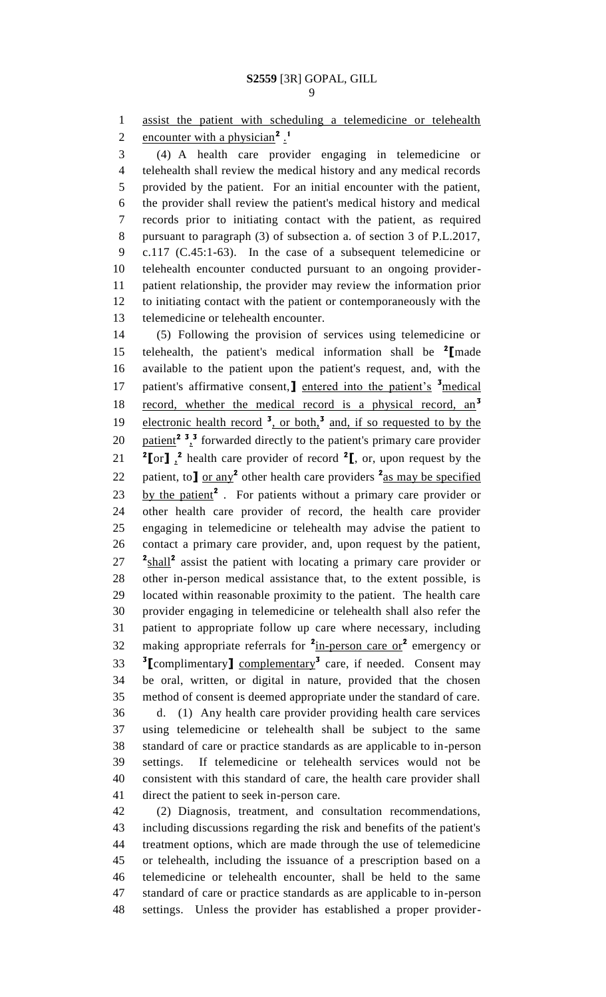assist the patient with scheduling a telemedicine or telehealth encounter with a physician**<sup>2</sup>** . **1** 

 (4) A health care provider engaging in telemedicine or telehealth shall review the medical history and any medical records provided by the patient. For an initial encounter with the patient, the provider shall review the patient's medical history and medical records prior to initiating contact with the patient, as required pursuant to paragraph (3) of subsection a. of section 3 of P.L.2017, c.117 (C.45:1-63). In the case of a subsequent telemedicine or telehealth encounter conducted pursuant to an ongoing provider- patient relationship, the provider may review the information prior to initiating contact with the patient or contemporaneously with the telemedicine or telehealth encounter.

 (5) Following the provision of services using telemedicine or telehealth, the patient's medical information shall be **<sup>2</sup> [**made available to the patient upon the patient's request, and, with the 17 patient's affirmative consent, net entered into the patient's <sup>3</sup> medical record, whether the medical record is a physical record, an**<sup>3</sup>** 19 electronic health record <sup>3</sup>, or both,<sup>3</sup> and, if so requested to by the  $\frac{\text{patient}}{2}$   $\frac{3}{4}$  forwarded directly to the patient's primary care provider  $\binom{2}{1}$ ,  $\binom{2}{1}$  health care provider of record  $\binom{2}{1}$ , or, upon request by the 22 patient, to  $\int$  or any<sup>2</sup> other health care providers  $\frac{2}{\text{as}}$  may be specified 23 by the patient<sup>2</sup>. For patients without a primary care provider or other health care provider of record, the health care provider engaging in telemedicine or telehealth may advise the patient to contact a primary care provider, and, upon request by the patient, 27 <sup>2</sup> shall<sup>2</sup> assist the patient with locating a primary care provider or other in-person medical assistance that, to the extent possible, is located within reasonable proximity to the patient. The health care provider engaging in telemedicine or telehealth shall also refer the patient to appropriate follow up care where necessary, including 32 making appropriate referrals for <sup>2</sup>in-person care or<sup>2</sup> emergency or **[**complimentary**]** complementary**<sup>3</sup>** care, if needed. Consent may be oral, written, or digital in nature, provided that the chosen method of consent is deemed appropriate under the standard of care.

 d. (1) Any health care provider providing health care services using telemedicine or telehealth shall be subject to the same standard of care or practice standards as are applicable to in-person settings. If telemedicine or telehealth services would not be consistent with this standard of care, the health care provider shall direct the patient to seek in-person care.

 (2) Diagnosis, treatment, and consultation recommendations, including discussions regarding the risk and benefits of the patient's treatment options, which are made through the use of telemedicine or telehealth, including the issuance of a prescription based on a telemedicine or telehealth encounter, shall be held to the same standard of care or practice standards as are applicable to in-person settings. Unless the provider has established a proper provider-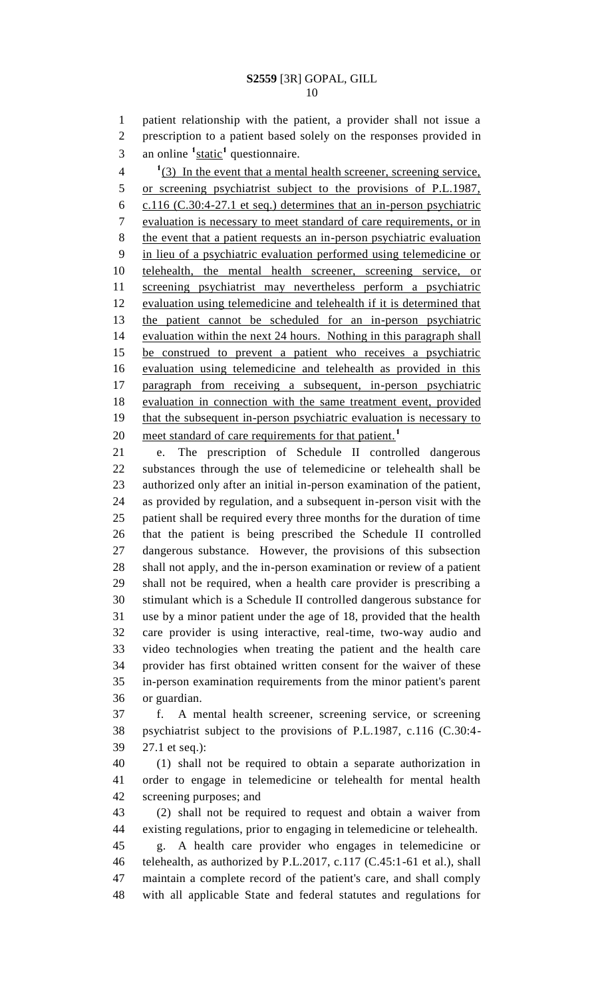patient relationship with the patient, a provider shall not issue a prescription to a patient based solely on the responses provided in 3 an online <sup>1</sup>static<sup>1</sup> questionnaire.

<sup>1</sup>(3) In the event that a mental health screener, screening service, 5 or screening psychiatrist subject to the provisions of P.L.1987, c.116 (C.30:4-27.1 et seq.) determines that an in-person psychiatric evaluation is necessary to meet standard of care requirements, or in the event that a patient requests an in-person psychiatric evaluation in lieu of a psychiatric evaluation performed using telemedicine or telehealth, the mental health screener, screening service, or screening psychiatrist may nevertheless perform a psychiatric evaluation using telemedicine and telehealth if it is determined that the patient cannot be scheduled for an in-person psychiatric evaluation within the next 24 hours. Nothing in this paragraph shall be construed to prevent a patient who receives a psychiatric evaluation using telemedicine and telehealth as provided in this paragraph from receiving a subsequent, in-person psychiatric evaluation in connection with the same treatment event, provided 19 that the subsequent in-person psychiatric evaluation is necessary to meet standard of care requirements for that patient.**<sup>1</sup>** 

 e. The prescription of Schedule II controlled dangerous substances through the use of telemedicine or telehealth shall be authorized only after an initial in-person examination of the patient, as provided by regulation, and a subsequent in-person visit with the patient shall be required every three months for the duration of time that the patient is being prescribed the Schedule II controlled dangerous substance. However, the provisions of this subsection shall not apply, and the in-person examination or review of a patient shall not be required, when a health care provider is prescribing a stimulant which is a Schedule II controlled dangerous substance for use by a minor patient under the age of 18, provided that the health care provider is using interactive, real-time, two-way audio and video technologies when treating the patient and the health care provider has first obtained written consent for the waiver of these in-person examination requirements from the minor patient's parent or guardian.

 f. A mental health screener, screening service, or screening psychiatrist subject to the provisions of P.L.1987, c.116 (C.30:4- 27.1 et seq.):

 (1) shall not be required to obtain a separate authorization in order to engage in telemedicine or telehealth for mental health screening purposes; and

 (2) shall not be required to request and obtain a waiver from existing regulations, prior to engaging in telemedicine or telehealth. g. A health care provider who engages in telemedicine or telehealth, as authorized by P.L.2017, c.117 (C.45:1-61 et al.), shall maintain a complete record of the patient's care, and shall comply with all applicable State and federal statutes and regulations for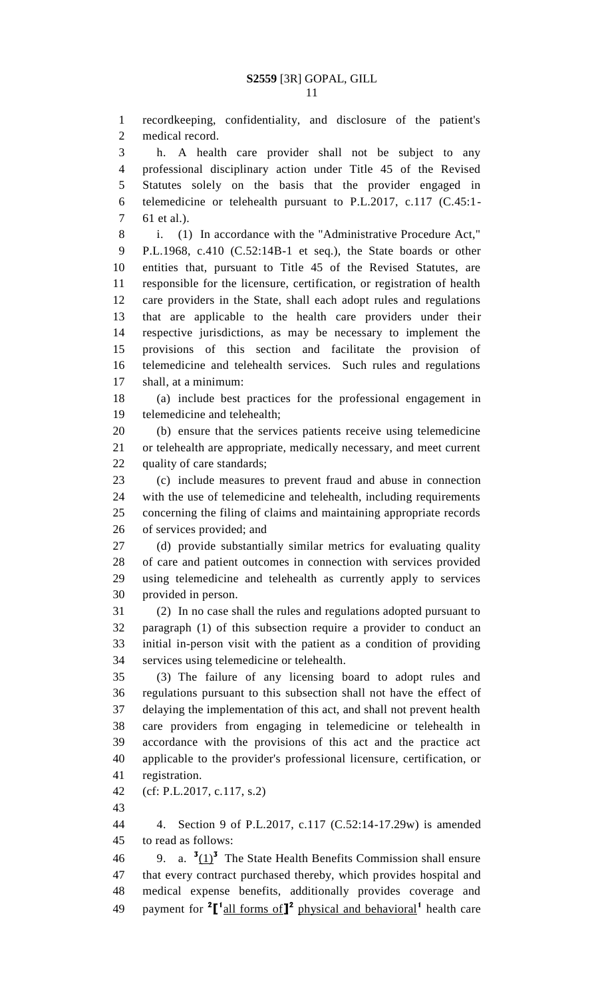recordkeeping, confidentiality, and disclosure of the patient's medical record.

 h. A health care provider shall not be subject to any professional disciplinary action under Title 45 of the Revised Statutes solely on the basis that the provider engaged in telemedicine or telehealth pursuant to P.L.2017, c.117 (C.45:1- 61 et al.).

 i. (1) In accordance with the "Administrative Procedure Act," P.L.1968, c.410 (C.52:14B-1 et seq.), the State boards or other entities that, pursuant to Title 45 of the Revised Statutes, are responsible for the licensure, certification, or registration of health care providers in the State, shall each adopt rules and regulations that are applicable to the health care providers under their respective jurisdictions, as may be necessary to implement the provisions of this section and facilitate the provision of telemedicine and telehealth services. Such rules and regulations shall, at a minimum:

 (a) include best practices for the professional engagement in telemedicine and telehealth;

 (b) ensure that the services patients receive using telemedicine or telehealth are appropriate, medically necessary, and meet current quality of care standards;

 (c) include measures to prevent fraud and abuse in connection with the use of telemedicine and telehealth, including requirements concerning the filing of claims and maintaining appropriate records of services provided; and

 (d) provide substantially similar metrics for evaluating quality of care and patient outcomes in connection with services provided using telemedicine and telehealth as currently apply to services provided in person.

 (2) In no case shall the rules and regulations adopted pursuant to paragraph (1) of this subsection require a provider to conduct an initial in-person visit with the patient as a condition of providing services using telemedicine or telehealth.

 (3) The failure of any licensing board to adopt rules and regulations pursuant to this subsection shall not have the effect of delaying the implementation of this act, and shall not prevent health care providers from engaging in telemedicine or telehealth in accordance with the provisions of this act and the practice act applicable to the provider's professional licensure, certification, or registration.

(cf: P.L.2017, c.117, s.2)

 4. Section 9 of P.L.2017, c.117 (C.52:14-17.29w) is amended to read as follows:

46 9. a.  $\frac{3(1)^3}{2}$  The State Health Benefits Commission shall ensure that every contract purchased thereby, which provides hospital and medical expense benefits, additionally provides coverage and 49 payment for <sup>2</sup>[<sup>1</sup> all forms of<sup>1</sup><sup>2</sup> physical and behavioral<sup>1</sup> health care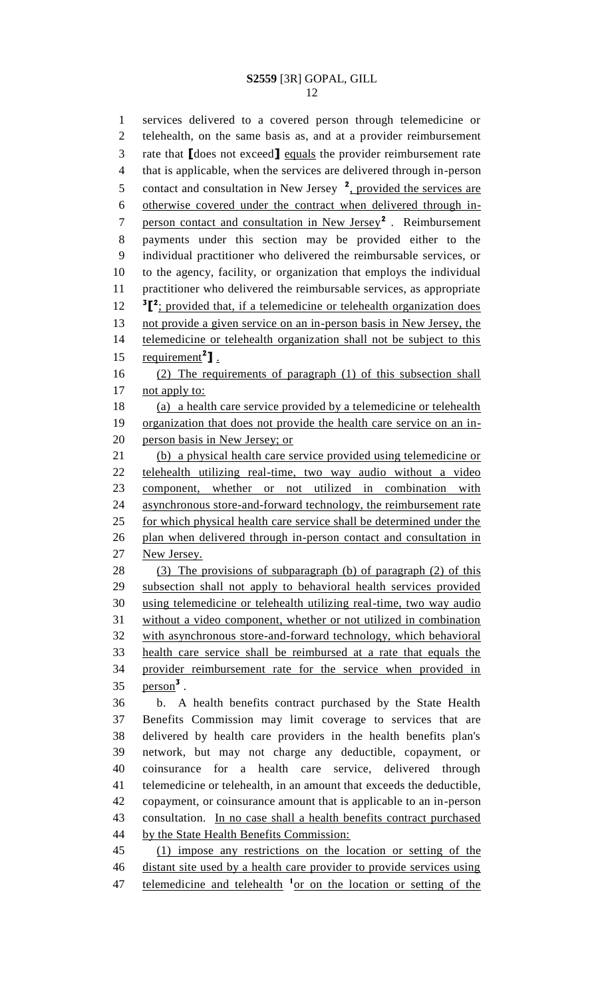services delivered to a covered person through telemedicine or telehealth, on the same basis as, and at a provider reimbursement rate that **[**does not exceed**]** equals the provider reimbursement rate that is applicable, when the services are delivered through in-person 5 contact and consultation in New Jersey <sup>2</sup>, provided the services are otherwise covered under the contract when delivered through inperson contact and consultation in New Jersey**<sup>2</sup>** . Reimbursement payments under this section may be provided either to the individual practitioner who delivered the reimbursable services, or to the agency, facility, or organization that employs the individual practitioner who delivered the reimbursable services, as appropriate 12 <sup>3</sup><sup>[2</sup>; provided that, if a telemedicine or telehealth organization does not provide a given service on an in-person basis in New Jersey, the telemedicine or telehealth organization shall not be subject to this  $\text{requirement}^2$ **]**. (2) The requirements of paragraph (1) of this subsection shall 17 not apply to: 18 (a) a health care service provided by a telemedicine or telehealth organization that does not provide the health care service on an in- person basis in New Jersey; or (b) a physical health care service provided using telemedicine or telehealth utilizing real-time, two way audio without a video component, whether or not utilized in combination with asynchronous store-and-forward technology, the reimbursement rate 25 for which physical health care service shall be determined under the plan when delivered through in-person contact and consultation in New Jersey. 28 (3) The provisions of subparagraph (b) of paragraph (2) of this subsection shall not apply to behavioral health services provided using telemedicine or telehealth utilizing real-time, two way audio without a video component, whether or not utilized in combination with asynchronous store-and-forward technology, which behavioral health care service shall be reimbursed at a rate that equals the provider reimbursement rate for the service when provided in person**<sup>3</sup>** . b. A health benefits contract purchased by the State Health Benefits Commission may limit coverage to services that are delivered by health care providers in the health benefits plan's network, but may not charge any deductible, copayment, or coinsurance for a health care service, delivered through telemedicine or telehealth, in an amount that exceeds the deductible, copayment, or coinsurance amount that is applicable to an in-person consultation. In no case shall a health benefits contract purchased 44 by the State Health Benefits Commission: (1) impose any restrictions on the location or setting of the distant site used by a health care provider to provide services using 47 telemedicine and telehealth <sup>1</sup> or on the location or setting of the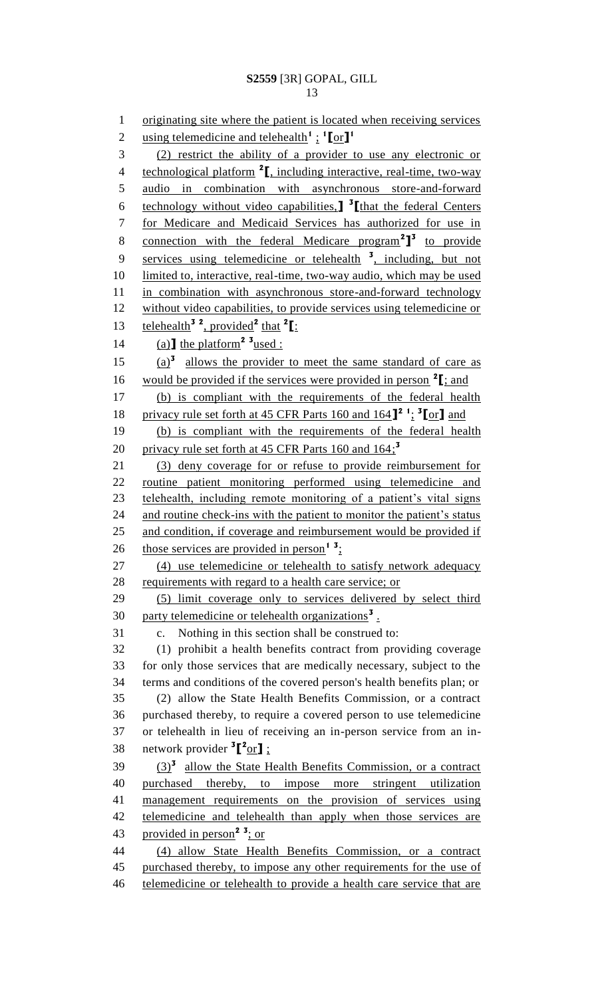originating site where the patient is located when receiving services using telemedicine and telehealth**<sup>1</sup>** ; **1 [**or**] 1** (2) restrict the ability of a provider to use any electronic or 4 technological platform <sup>2</sup><sub>L</sub> including interactive, real-time, two-way audio in combination with asynchronous store-and-forward technology without video capabilities,**] 3 [**that the federal Centers for Medicare and Medicaid Services has authorized for use in 8 connection with the federal Medicare program<sup>2</sup><sup>1</sup> to provide 9 services using telemedicine or telehealth <sup>3</sup>, including, but not limited to, interactive, real-time, two-way audio, which may be used in combination with asynchronous store-and-forward technology without video capabilities, to provide services using telemedicine or 13 **telehealth**<sup>3</sup><sup>2</sup>, provided<sup>2</sup> that <sup>2</sup>[: 14 (a)  $\text{the platform}^2$  <sup>3</sup> used :  $(a)$ <sup>3</sup> allows the provider to meet the same standard of care as 16 would be provided if the services were provided in person  $2\text{I}$ ; and (b) is compliant with the requirements of the federal health privacy rule set forth at 45 CFR Parts 160 and 164**] 2 1** ; **3 [**or**]** and (b) is compliant with the requirements of the federal health privacy rule set forth at 45 CFR Parts 160 and 164; **3** (3) deny coverage for or refuse to provide reimbursement for routine patient monitoring performed using telemedicine and telehealth, including remote monitoring of a patient's vital signs 24 and routine check-ins with the patient to monitor the patient's status 25 and condition, if coverage and reimbursement would be provided if 26 those services are provided in person<sup>1</sup><sup>3</sup>: (4) use telemedicine or telehealth to satisfy network adequacy requirements with regard to a health care service; or (5) limit coverage only to services delivered by select third 30 party telemedicine or telehealth organizations<sup>3</sup>. c. Nothing in this section shall be construed to: (1) prohibit a health benefits contract from providing coverage for only those services that are medically necessary, subject to the terms and conditions of the covered person's health benefits plan; or (2) allow the State Health Benefits Commission, or a contract purchased thereby, to require a covered person to use telemedicine or telehealth in lieu of receiving an in-person service from an in-38 network provider <sup>3</sup><sup>[2</sup>or]; 39 (3)<sup>3</sup> allow the State Health Benefits Commission, or a contract purchased thereby, to impose more stringent utilization management requirements on the provision of services using telemedicine and telehealth than apply when those services are provided in person**<sup>2</sup> <sup>3</sup>** ; or (4) allow State Health Benefits Commission, or a contract 45 purchased thereby, to impose any other requirements for the use of telemedicine or telehealth to provide a health care service that are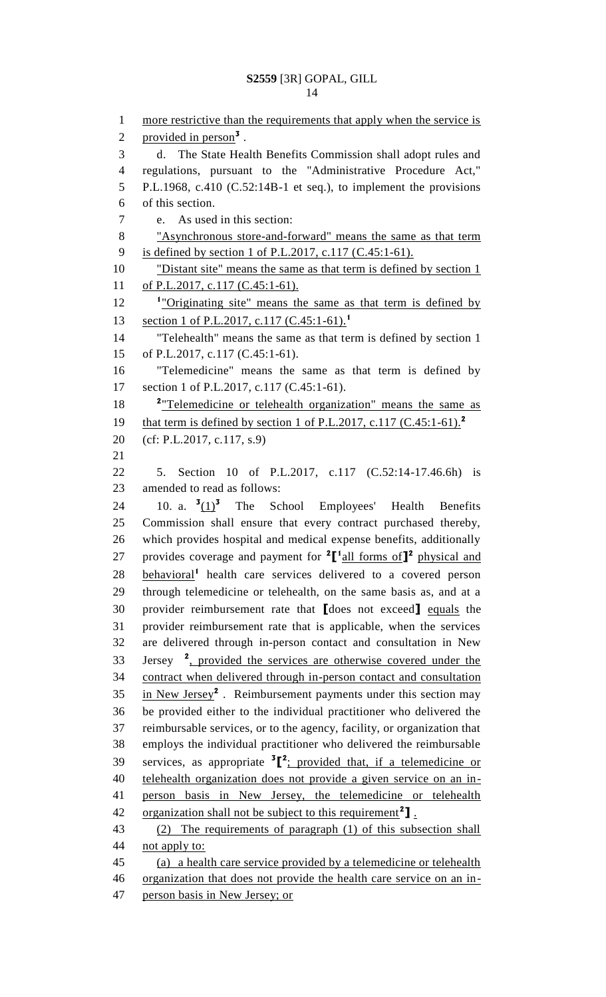```
1 more restrictive than the requirements that apply when the service is
 2 provided in person<sup>3</sup>.
 3 d. The State Health Benefits Commission shall adopt rules and 
 4 regulations, pursuant to the "Administrative Procedure Act," 
 5 P.L.1968, c.410 (C.52:14B-1 et seq.), to implement the provisions 
 6 of this section.
 7 e. As used in this section: 
 8 "Asynchronous store-and-forward" means the same as that term 
9 is defined by section 1 of P.L.2017, c.117 (C.45:1-61).
10 "Distant site" means the same as that term is defined by section 1
11 of P.L.2017, c.117 (C.45:1-61).
12 <sup>1</sup> "Originating site" means the same as that term is defined by
     section 1 of P.L.2017, c.117 (C.45:1-61).1
13
14 "Telehealth" means the same as that term is defined by section 1 
15 of P.L.2017, c.117 (C.45:1-61).
16 "Telemedicine" means the same as that term is defined by 
17 section 1 of P.L.2017, c.117 (C.45:1-61).
18 <sup>2</sup> Telemedicine or telehealth organization" means the same as
     that term is defined by section 1 of P.L.2017, c.117 (C.45:1-61).2
19
20 (cf: P.L.2017, c.117, s.9)
21
22 5. Section 10 of P.L.2017, c.117 (C.52:14-17.46.6h) is 
23 amended to read as follows:
        10. a. \frac{3(1)^3}{2}24 10. a. (1)^3 The School Employees' Health Benefits
25 Commission shall ensure that every contract purchased thereby, 
26 which provides hospital and medical expense benefits, additionally 
provides coverage and payment for 2
[
1
all forms of]
2
27 physical and 
28 behavioral<sup>1</sup> health care services delivered to a covered person
29 through telemedicine or telehealth, on the same basis as, and at a 
30 provider reimbursement rate that [does not exceed] equals the 
31 provider reimbursement rate that is applicable, when the services 
32 are delivered through in-person contact and consultation in New 
33 Jersey <sup>2</sup>, provided the services are otherwise covered under the
34 contract when delivered through in-person contact and consultation 
35 in New Jersey<sup>2</sup>. Reimbursement payments under this section may
36 be provided either to the individual practitioner who delivered the 
37 reimbursable services, or to the agency, facility, or organization that 
38 employs the individual practitioner who delivered the reimbursable 
39 services, as appropriate {}^{3}[{}^{2}; provided that, if a telemedicine or
40 telehealth organization does not provide a given service on an in-
41 person basis in New Jersey, the telemedicine or telehealth 
42 organization shall not be subject to this requirement<sup>2</sup>].
43 (2) The requirements of paragraph (1) of this subsection shall 
44 not apply to:
45 (a) a health care service provided by a telemedicine or telehealth 
46 organization that does not provide the health care service on an in-
47 person basis in New Jersey; or
```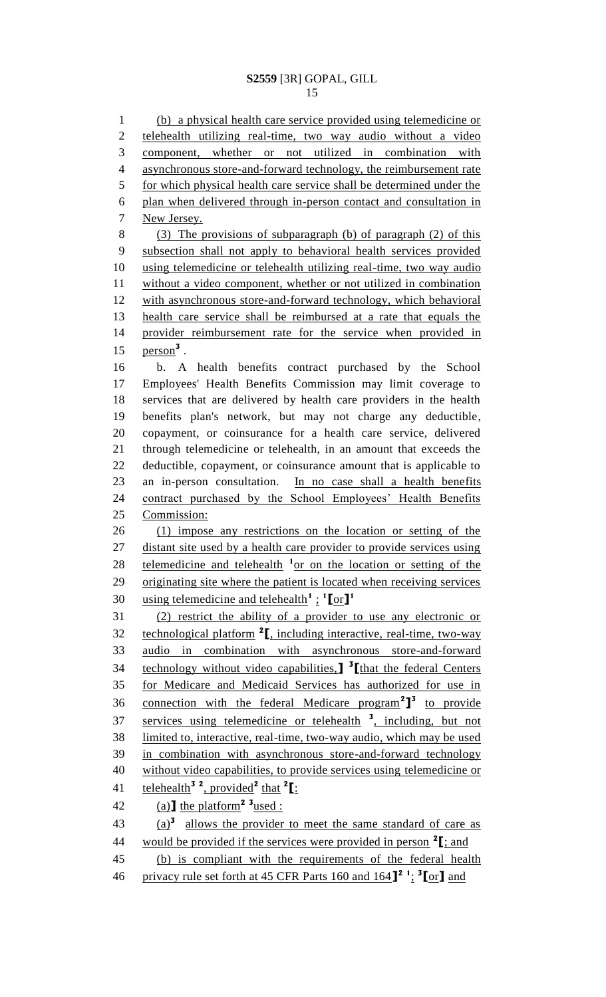(b) a physical health care service provided using telemedicine or telehealth utilizing real-time, two way audio without a video component, whether or not utilized in combination with asynchronous store-and-forward technology, the reimbursement rate for which physical health care service shall be determined under the plan when delivered through in-person contact and consultation in New Jersey. (3) The provisions of subparagraph (b) of paragraph (2) of this subsection shall not apply to behavioral health services provided using telemedicine or telehealth utilizing real-time, two way audio without a video component, whether or not utilized in combination with asynchronous store-and-forward technology, which behavioral health care service shall be reimbursed at a rate that equals the provider reimbursement rate for the service when provided in **person**<sup>3</sup>. b. A health benefits contract purchased by the School Employees' Health Benefits Commission may limit coverage to services that are delivered by health care providers in the health benefits plan's network, but may not charge any deductible, copayment, or coinsurance for a health care service, delivered through telemedicine or telehealth, in an amount that exceeds the deductible, copayment, or coinsurance amount that is applicable to an in-person consultation. In no case shall a health benefits 24 contract purchased by the School Employees' Health Benefits Commission: (1) impose any restrictions on the location or setting of the 27 distant site used by a health care provider to provide services using 28 telemedicine and telehealth <sup>1</sup> or on the location or setting of the originating site where the patient is located when receiving services using telemedicine and telehealth<sup>1</sup>:  $\frac{1}{2}$ [or]<sup>1</sup> (2) restrict the ability of a provider to use any electronic or 32 technological platform <sup>2</sup>, including interactive, real-time, two-way audio in combination with asynchronous store-and-forward technology without video capabilities,**] 3 [**that the federal Centers for Medicare and Medicaid Services has authorized for use in 36 connection with the federal Medicare program<sup>2</sup><sup>3</sup> to provide 37 services using telemedicine or telehealth <sup>3</sup>, including, but not limited to, interactive, real-time, two-way audio, which may be used in combination with asynchronous store-and-forward technology without video capabilities, to provide services using telemedicine or telehealth**<sup>3</sup> <sup>2</sup>** , provided**<sup>2</sup>** that **<sup>2</sup> [**: 42 (a)  $\text{the platform}^2$  <sup>3</sup> used :  $(a)$ <sup>3</sup> allows the provider to meet the same standard of care as would be provided if the services were provided in person **<sup>2</sup> [**; and (b) is compliant with the requirements of the federal health privacy rule set forth at 45 CFR Parts 160 and 164**] 2 1** ; **3 [**or**]** and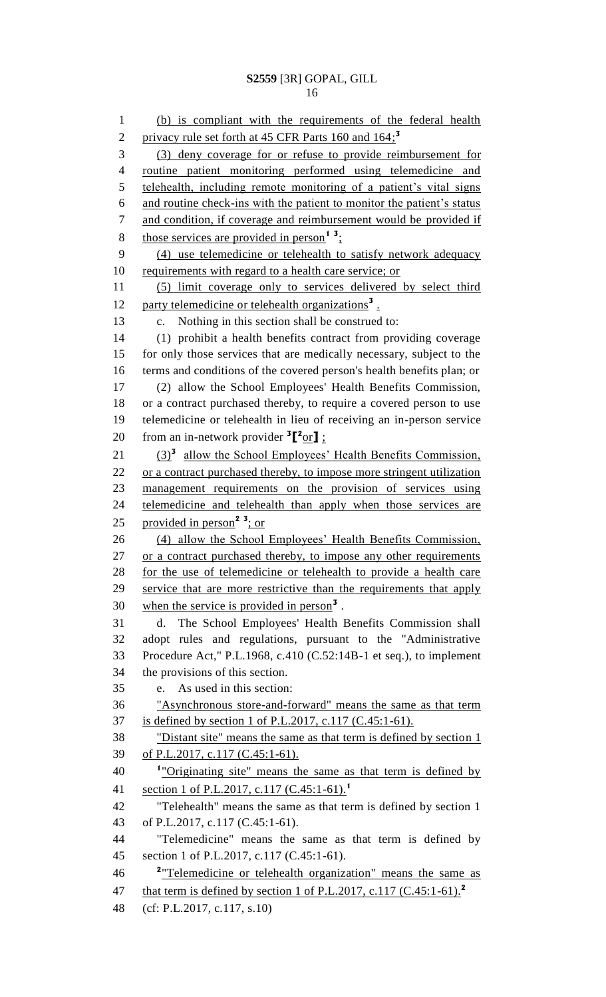(b) is compliant with the requirements of the federal health privacy rule set forth at 45 CFR Parts 160 and 164; **3** (3) deny coverage for or refuse to provide reimbursement for routine patient monitoring performed using telemedicine and telehealth, including remote monitoring of a patient's vital signs and routine check-ins with the patient to monitor the patient's status and condition, if coverage and reimbursement would be provided if 8 those services are provided in person<sup>1</sup><sup>3</sup>: (4) use telemedicine or telehealth to satisfy network adequacy 10 requirements with regard to a health care service; or (5) limit coverage only to services delivered by select third 12 party telemedicine or telehealth organizations<sup>3</sup>. c. Nothing in this section shall be construed to: (1) prohibit a health benefits contract from providing coverage for only those services that are medically necessary, subject to the terms and conditions of the covered person's health benefits plan; or (2) allow the School Employees' Health Benefits Commission, or a contract purchased thereby, to require a covered person to use telemedicine or telehealth in lieu of receiving an in-person service 20 from an in-network provider  ${}^{3}$  $[{}^{2}$ or $]$ ; 21 (3)<sup>3</sup> allow the School Employees' Health Benefits Commission, 22 or a contract purchased thereby, to impose more stringent utilization management requirements on the provision of services using telemedicine and telehealth than apply when those services are 25 provided in person<sup>2</sup><sup>3</sup>; or (4) allow the School Employees' Health Benefits Commission, 27 or a contract purchased thereby, to impose any other requirements for the use of telemedicine or telehealth to provide a health care 29 service that are more restrictive than the requirements that apply 30 when the service is provided in person<sup>3</sup>. d. The School Employees' Health Benefits Commission shall adopt rules and regulations, pursuant to the "Administrative Procedure Act," P.L.1968, c.410 (C.52:14B-1 et seq.), to implement the provisions of this section. e. As used in this section: "Asynchronous store-and-forward" means the same as that term is defined by section 1 of P.L.2017, c.117 (C.45:1-61). "Distant site" means the same as that term is defined by section 1 of P.L.2017, c.117 (C.45:1-61). "Originating site" means the same as that term is defined by section 1 of P.L.2017, c.117 (C.45:1-61).**<sup>1</sup>** "Telehealth" means the same as that term is defined by section 1 of P.L.2017, c.117 (C.45:1-61). "Telemedicine" means the same as that term is defined by section 1 of P.L.2017, c.117 (C.45:1-61). <sup>2</sup> Telemedicine or telehealth organization" means the same as that term is defined by section 1 of P.L.2017, c.117 (C.45:1-61).**<sup>2</sup>** (cf: P.L.2017, c.117, s.10)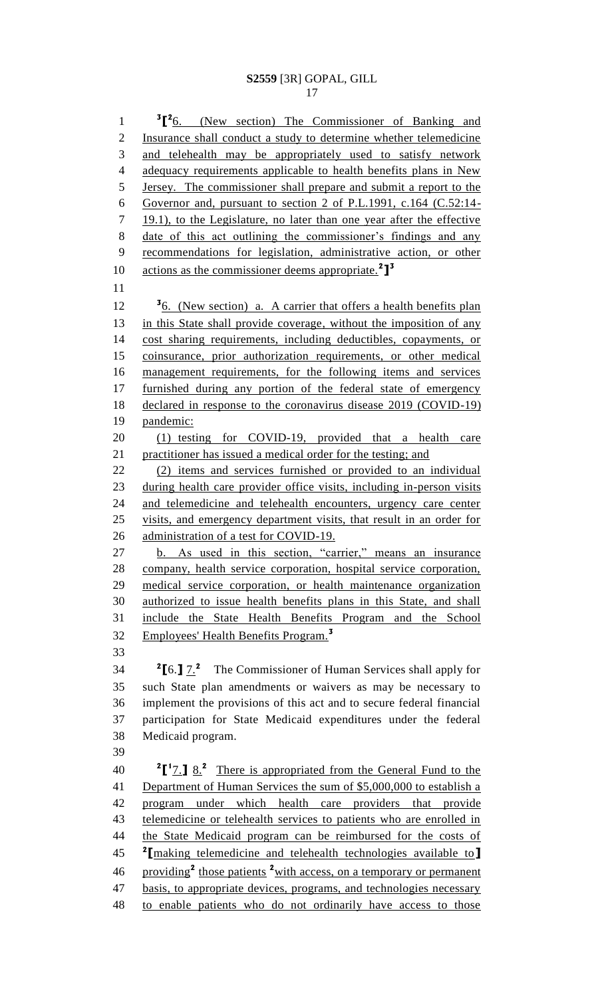1 <sup>3</sup><sup>[2</sup>6. (New section) The Commissioner of Banking and 2 Insurance shall conduct a study to determine whether telemedicine 3 and telehealth may be appropriately used to satisfy network 4 adequacy requirements applicable to health benefits plans in New Jersey. The commissioner shall prepare and submit a report to the Governor and, pursuant to section 2 of P.L.1991, c.164 (C.52:14- 7 19.1), to the Legislature, no later than one year after the effective date of this act outlining the commissioner's findings and any recommendations for legislation, administrative action, or other actions as the commissioner deems appropriate.**<sup>2</sup> ] 3** 12 <sup>5</sup><sub>6</sub>. (New section) a. A carrier that offers a health benefits plan 13 in this State shall provide coverage, without the imposition of any cost sharing requirements, including deductibles, copayments, or coinsurance, prior authorization requirements, or other medical management requirements, for the following items and services furnished during any portion of the federal state of emergency declared in response to the coronavirus disease 2019 (COVID-19) pandemic: (1) testing for COVID-19, provided that a health care 21 practitioner has issued a medical order for the testing; and (2) items and services furnished or provided to an individual during health care provider office visits, including in-person visits and telemedicine and telehealth encounters, urgency care center visits, and emergency department visits, that result in an order for 26 administration of a test for COVID-19. b. As used in this section, "carrier," means an insurance company, health service corporation, hospital service corporation, medical service corporation, or health maintenance organization authorized to issue health benefits plans in this State, and shall include the State Health Benefits Program and the School Employees' Health Benefits Program.**<sup>3</sup> 2 [**6.**]** 7.**<sup>2</sup>** The Commissioner of Human Services shall apply for such State plan amendments or waivers as may be necessary to implement the provisions of this act and to secure federal financial participation for State Medicaid expenditures under the federal Medicaid program. **2**<sup> $1$ </sup><sub> $\frac{1}{2}$ </sub> <sup>2</sup>  $\frac{1}{2}$  <sup>2</sup> There is appropriated from the General Fund to the Department of Human Services the sum of \$5,000,000 to establish a program under which health care providers that provide 43 telemedicine or telehealth services to patients who are enrolled in 44 the State Medicaid program can be reimbursed for the costs of **2 [**making telemedicine and telehealth technologies available to**]** 46 providing<sup>2</sup> those patients <sup>2</sup> with access, on a temporary or permanent 47 basis, to appropriate devices, programs, and technologies necessary to enable patients who do not ordinarily have access to those